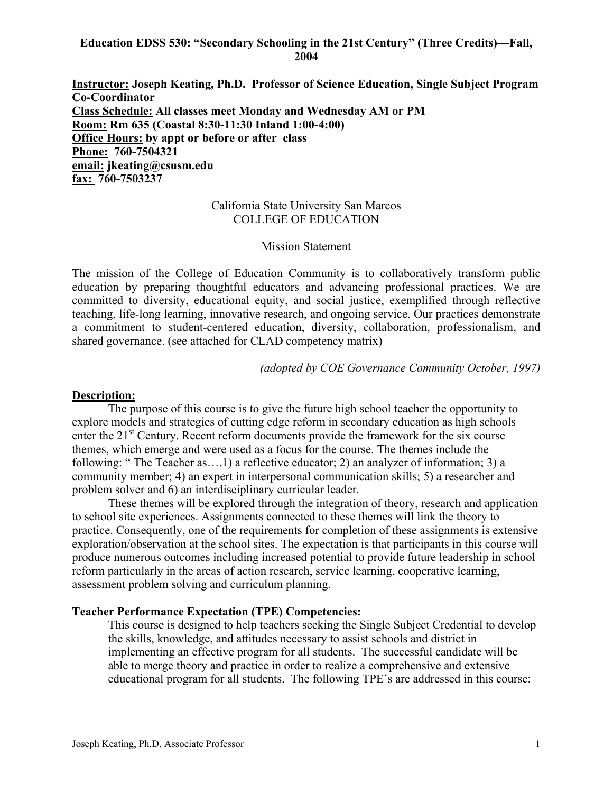#### **Education EDSS 530: "Secondary Schooling in the 21st Century" (Three Credits)—Fall, 2004**

**Instructor: Joseph Keating, Ph.D. Professor of Science Education, Single Subject Program Co-Coordinator Class Schedule: All classes meet Monday and Wednesday AM or PM Room: Rm 635 (Coastal 8:30-11:30 Inland 1:00-4:00) Office Hours: by appt or before or after class Phone: 760-7504321 email: jkeating@csusm.edu fax: 760-7503237** 

#### California State University San Marcos COLLEGE OF EDUCATION

#### Mission Statement

The mission of the College of Education Community is to collaboratively transform public education by preparing thoughtful educators and advancing professional practices. We are committed to diversity, educational equity, and social justice, exemplified through reflective teaching, life-long learning, innovative research, and ongoing service. Our practices demonstrate a commitment to student-centered education, diversity, collaboration, professionalism, and shared governance. (see attached for CLAD competency matrix)

*(adopted by COE Governance Community October, 1997)*

#### **Description:**

The purpose of this course is to give the future high school teacher the opportunity to explore models and strategies of cutting edge reform in secondary education as high schools enter the 21<sup>st</sup> Century. Recent reform documents provide the framework for the six course themes, which emerge and were used as a focus for the course. The themes include the following: "The Teacher as....1) a reflective educator; 2) an analyzer of information; 3) a community member; 4) an expert in interpersonal communication skills; 5) a researcher and problem solver and 6) an interdisciplinary curricular leader.

These themes will be explored through the integration of theory, research and application to school site experiences. Assignments connected to these themes will link the theory to practice. Consequently, one of the requirements for completion of these assignments is extensive exploration/observation at the school sites. The expectation is that participants in this course will produce numerous outcomes including increased potential to provide future leadership in school reform particularly in the areas of action research, service learning, cooperative learning, assessment problem solving and curriculum planning.

#### **Teacher Performance Expectation (TPE) Competencies:**

This course is designed to help teachers seeking the Single Subject Credential to develop the skills, knowledge, and attitudes necessary to assist schools and district in implementing an effective program for all students. The successful candidate will be able to merge theory and practice in order to realize a comprehensive and extensive educational program for all students. The following TPE's are addressed in this course: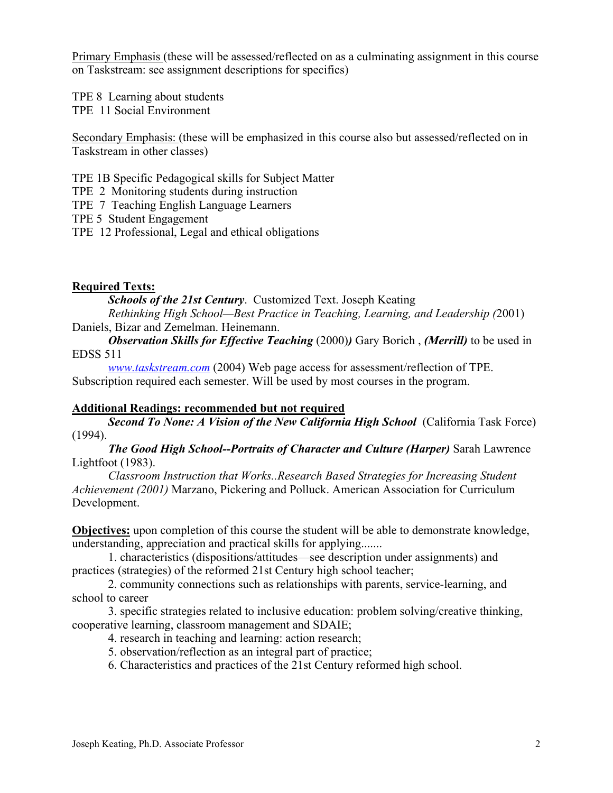Primary Emphasis (these will be assessed/reflected on as a culminating assignment in this course on Taskstream: see assignment descriptions for specifics)

TPE 8 Learning about students TPE 11 Social Environment

Secondary Emphasis: (these will be emphasized in this course also but assessed/reflected on in Taskstream in other classes)

TPE 1B Specific Pedagogical skills for Subject Matter

TPE 2 Monitoring students during instruction

TPE 7 Teaching English Language Learners

TPE 5 Student Engagement

TPE 12 Professional, Legal and ethical obligations

### **Required Texts:**

*Schools of the 21st Century*. Customized Text. Joseph Keating

*Rethinking High School—Best Practice in Teaching, Learning, and Leadership (*2001) Daniels, Bizar and Zemelman. Heinemann.

*Observation Skills for Effective Teaching (2000) Gary Borich, <i>(Merrill)* to be used in EDSS 511

*www.taskstream.com* (2004) Web page access for assessment/reflection of TPE. Subscription required each semester. Will be used by most courses in the program.

#### **Additional Readings: recommended but not required**

*Second To None: A Vision of the New California High School* (California Task Force) (1994).

*The Good High School--Portraits of Character and Culture (Harper)* Sarah Lawrence Lightfoot (1983).

*Classroom Instruction that Works..Research Based Strategies for Increasing Student Achievement (2001)* Marzano, Pickering and Polluck. American Association for Curriculum Development.

**Objectives:** upon completion of this course the student will be able to demonstrate knowledge, understanding, appreciation and practical skills for applying.......

 1. characteristics (dispositions/attitudes—see description under assignments) and practices (strategies) of the reformed 21st Century high school teacher;

 2. community connections such as relationships with parents, service-learning, and school to career

 3. specific strategies related to inclusive education: problem solving/creative thinking, cooperative learning, classroom management and SDAIE;

4. research in teaching and learning: action research;

5. observation/reflection as an integral part of practice;

6. Characteristics and practices of the 21st Century reformed high school.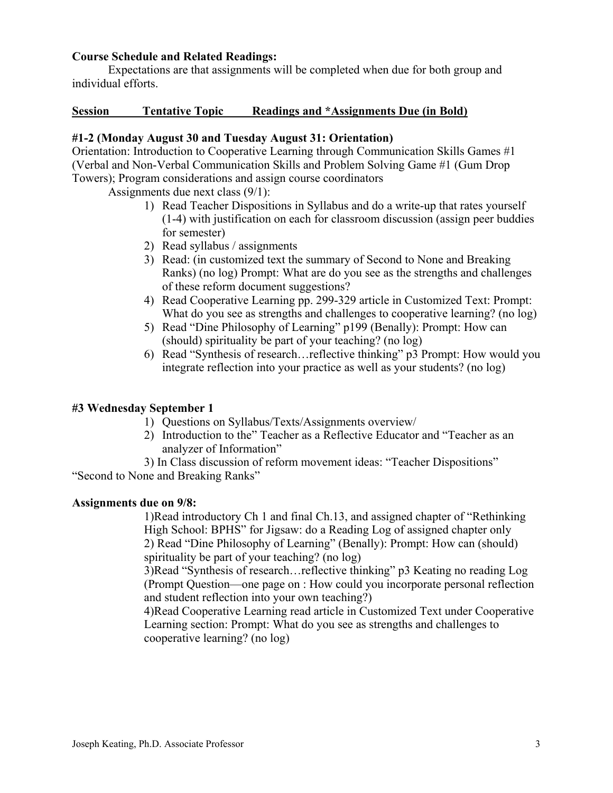#### **Course Schedule and Related Readings:**

Expectations are that assignments will be completed when due for both group and individual efforts.

#### **Session Tentative Topic Readings and \*Assignments Due (in Bold)**

#### **#1-2 (Monday August 30 and Tuesday August 31: Orientation)**

Orientation: Introduction to Cooperative Learning through Communication Skills Games #1 (Verbal and Non-Verbal Communication Skills and Problem Solving Game #1 (Gum Drop Towers); Program considerations and assign course coordinators

Assignments due next class (9/1):

- 1) Read Teacher Dispositions in Syllabus and do a write-up that rates yourself (1-4) with justification on each for classroom discussion (assign peer buddies for semester)
- 2) Read syllabus / assignments
- 3) Read: (in customized text the summary of Second to None and Breaking Ranks) (no log) Prompt: What are do you see as the strengths and challenges of these reform document suggestions?
- 4) Read Cooperative Learning pp. 299-329 article in Customized Text: Prompt: What do you see as strengths and challenges to cooperative learning? (no log)
- 5) Read "Dine Philosophy of Learning" p199 (Benally): Prompt: How can (should) spirituality be part of your teaching? (no log)
- 6) Read "Synthesis of research…reflective thinking" p3 Prompt: How would you integrate reflection into your practice as well as your students? (no log)

#### **#3 Wednesday September 1**

- 1) Questions on Syllabus/Texts/Assignments overview/
- 2) Introduction to the" Teacher as a Reflective Educator and "Teacher as an analyzer of Information"
- 3) In Class discussion of reform movement ideas: "Teacher Dispositions"

"Second to None and Breaking Ranks"

#### **Assignments due on 9/8:**

1)Read introductory Ch 1 and final Ch.13, and assigned chapter of "Rethinking High School: BPHS" for Jigsaw: do a Reading Log of assigned chapter only 2) Read "Dine Philosophy of Learning" (Benally): Prompt: How can (should) spirituality be part of your teaching? (no log)

3)Read "Synthesis of research…reflective thinking" p3 Keating no reading Log (Prompt Question—one page on : How could you incorporate personal reflection and student reflection into your own teaching?)

4)Read Cooperative Learning read article in Customized Text under Cooperative Learning section: Prompt: What do you see as strengths and challenges to cooperative learning? (no log)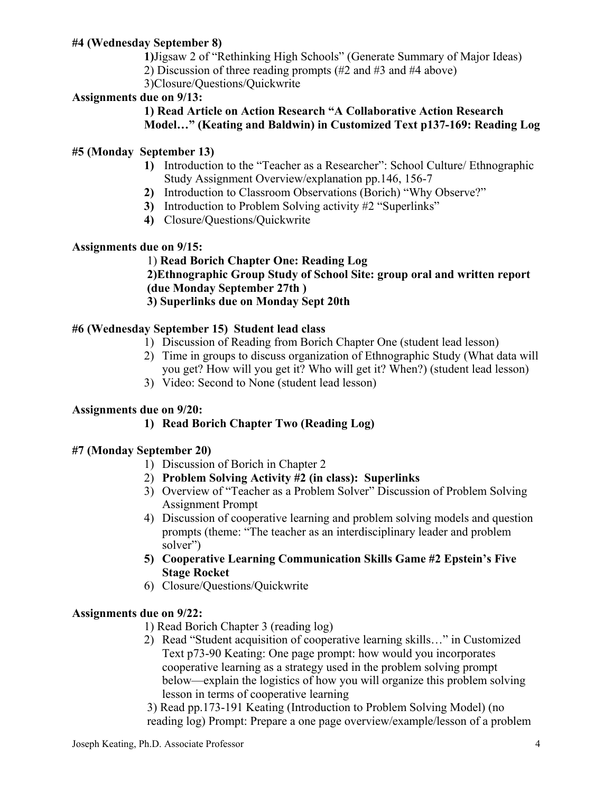## **#4 (Wednesday September 8)**

 **1)**Jigsaw 2 of "Rethinking High Schools" (Generate Summary of Major Ideas)

2) Discussion of three reading prompts (#2 and #3 and #4 above)

3)Closure/Questions/Quickwrite

# **Assignments due on 9/13:**

## **1) Read Article on Action Research "A Collaborative Action Research Model…" (Keating and Baldwin) in Customized Text p137-169: Reading Log**

# **#5 (Monday September 13)**

- **1)** Introduction to the "Teacher as a Researcher": School Culture/ Ethnographic Study Assignment Overview/explanation pp.146, 156-7
- **2)** Introduction to Classroom Observations (Borich) "Why Observe?"
- **3)** Introduction to Problem Solving activity #2 "Superlinks"
- **4)** Closure/Questions/Quickwrite

# **Assignments due on 9/15:**

#### 1) **Read Borich Chapter One: Reading Log 2)Ethnographic Group Study of School Site: group oral and written report (due Monday September 27th ) 3) Superlinks due on Monday Sept 20th**

# **#6 (Wednesday September 15) Student lead class**

- 1) Discussion of Reading from Borich Chapter One (student lead lesson)
- 2) Time in groups to discuss organization of Ethnographic Study (What data will you get? How will you get it? Who will get it? When?) (student lead lesson)
- 3) Video: Second to None (student lead lesson)

## **Assignments due on 9/20:**

# **1) Read Borich Chapter Two (Reading Log)**

## **#7 (Monday September 20)**

- 1) Discussion of Borich in Chapter 2
- 2) **Problem Solving Activity #2 (in class): Superlinks**
- 3) Overview of "Teacher as a Problem Solver" Discussion of Problem Solving Assignment Prompt
- 4) Discussion of cooperative learning and problem solving models and question prompts (theme: "The teacher as an interdisciplinary leader and problem solver")
- **5) Cooperative Learning Communication Skills Game #2 Epstein's Five Stage Rocket**
- 6) Closure/Questions/Quickwrite

## **Assignments due on 9/22:**

1) Read Borich Chapter 3 (reading log)

2) Read "Student acquisition of cooperative learning skills…" in Customized Text p73-90 Keating: One page prompt: how would you incorporates cooperative learning as a strategy used in the problem solving prompt below—explain the logistics of how you will organize this problem solving lesson in terms of cooperative learning

3) Read pp.173-191 Keating (Introduction to Problem Solving Model) (no reading log) Prompt: Prepare a one page overview/example/lesson of a problem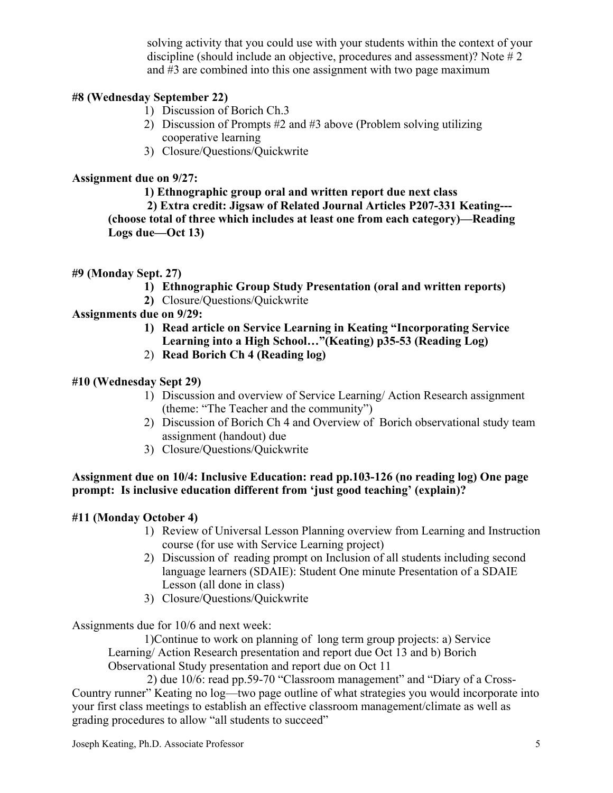solving activity that you could use with your students within the context of your discipline (should include an objective, procedures and assessment)? Note # 2 and #3 are combined into this one assignment with two page maximum

# **#8 (Wednesday September 22)**

- 1) Discussion of Borich Ch.3
- 2) Discussion of Prompts #2 and #3 above (Problem solving utilizing cooperative learning
- 3) Closure/Questions/Quickwrite

### **Assignment due on 9/27:**

**1) Ethnographic group oral and written report due next class** 

 **2) Extra credit: Jigsaw of Related Journal Articles P207-331 Keating--- (choose total of three which includes at least one from each category)—Reading Logs due—Oct 13)** 

### **#9 (Monday Sept. 27)**

- **1) Ethnographic Group Study Presentation (oral and written reports)**
- **2)** Closure/Questions/Quickwrite

## **Assignments due on 9/29:**

- **1) Read article on Service Learning in Keating "Incorporating Service Learning into a High School…"(Keating) p35-53 (Reading Log)**
- 2) **Read Borich Ch 4 (Reading log)**

### **#10 (Wednesday Sept 29)**

- 1) Discussion and overview of Service Learning/ Action Research assignment (theme: "The Teacher and the community")
- 2) Discussion of Borich Ch 4 and Overview of Borich observational study team assignment (handout) due
- 3) Closure/Questions/Quickwrite

### **Assignment due on 10/4: Inclusive Education: read pp.103-126 (no reading log) One page prompt: Is inclusive education different from 'just good teaching' (explain)?**

## **#11 (Monday October 4)**

- 1) Review of Universal Lesson Planning overview from Learning and Instruction course (for use with Service Learning project)
- 2) Discussion of reading prompt on Inclusion of all students including second language learners (SDAIE): Student One minute Presentation of a SDAIE Lesson (all done in class)
- 3) Closure/Questions/Quickwrite

Assignments due for 10/6 and next week:

1)Continue to work on planning of long term group projects: a) Service Learning/ Action Research presentation and report due Oct 13 and b) Borich Observational Study presentation and report due on Oct 11

 2) due 10/6: read pp.59-70 "Classroom management" and "Diary of a Cross-Country runner" Keating no log—two page outline of what strategies you would incorporate into your first class meetings to establish an effective classroom management/climate as well as grading procedures to allow "all students to succeed"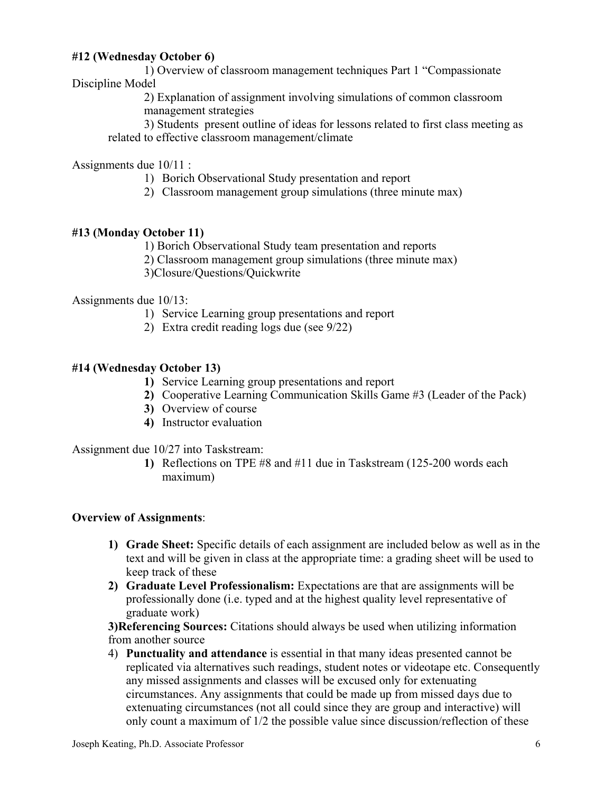### **#12 (Wednesday October 6)**

1) Overview of classroom management techniques Part 1 "Compassionate Discipline Model

> 2) Explanation of assignment involving simulations of common classroom management strategies

3) Students present outline of ideas for lessons related to first class meeting as related to effective classroom management/climate

Assignments due 10/11 :

1) Borich Observational Study presentation and report

2) Classroom management group simulations (three minute max)

### **#13 (Monday October 11)**

1) Borich Observational Study team presentation and reports

2) Classroom management group simulations (three minute max)

3)Closure/Questions/Quickwrite

Assignments due 10/13:

- 1) Service Learning group presentations and report
- 2) Extra credit reading logs due (see 9/22)

#### **#14 (Wednesday October 13)**

- **1)** Service Learning group presentations and report
- **2)** Cooperative Learning Communication Skills Game #3 (Leader of the Pack)
- **3)** Overview of course
- **4)** Instructor evaluation

Assignment due 10/27 into Taskstream:

**1)** Reflections on TPE #8 and #11 due in Taskstream (125-200 words each maximum)

#### **Overview of Assignments**:

- **1) Grade Sheet:** Specific details of each assignment are included below as well as in the text and will be given in class at the appropriate time: a grading sheet will be used to keep track of these
- **2) Graduate Level Professionalism:** Expectations are that are assignments will be professionally done (i.e. typed and at the highest quality level representative of graduate work)

**3)Referencing Sources:** Citations should always be used when utilizing information from another source

4) **Punctuality and attendance** is essential in that many ideas presented cannot be replicated via alternatives such readings, student notes or videotape etc. Consequently any missed assignments and classes will be excused only for extenuating circumstances. Any assignments that could be made up from missed days due to extenuating circumstances (not all could since they are group and interactive) will only count a maximum of 1/2 the possible value since discussion/reflection of these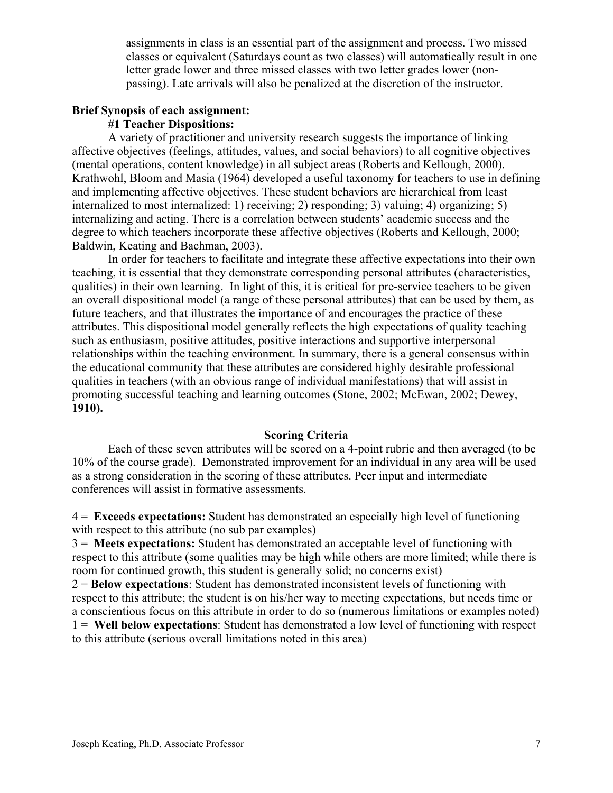assignments in class is an essential part of the assignment and process. Two missed classes or equivalent (Saturdays count as two classes) will automatically result in one letter grade lower and three missed classes with two letter grades lower (nonpassing). Late arrivals will also be penalized at the discretion of the instructor.

#### **Brief Synopsis of each assignment:**

#### **#1 Teacher Dispositions:**

A variety of practitioner and university research suggests the importance of linking affective objectives (feelings, attitudes, values, and social behaviors) to all cognitive objectives (mental operations, content knowledge) in all subject areas (Roberts and Kellough, 2000). Krathwohl, Bloom and Masia (1964) developed a useful taxonomy for teachers to use in defining and implementing affective objectives. These student behaviors are hierarchical from least internalized to most internalized: 1) receiving; 2) responding; 3) valuing; 4) organizing; 5) internalizing and acting. There is a correlation between students' academic success and the degree to which teachers incorporate these affective objectives (Roberts and Kellough, 2000; Baldwin, Keating and Bachman, 2003).

In order for teachers to facilitate and integrate these affective expectations into their own teaching, it is essential that they demonstrate corresponding personal attributes (characteristics, qualities) in their own learning. In light of this, it is critical for pre-service teachers to be given an overall dispositional model (a range of these personal attributes) that can be used by them, as future teachers, and that illustrates the importance of and encourages the practice of these attributes. This dispositional model generally reflects the high expectations of quality teaching such as enthusiasm, positive attitudes, positive interactions and supportive interpersonal relationships within the teaching environment. In summary, there is a general consensus within the educational community that these attributes are considered highly desirable professional qualities in teachers (with an obvious range of individual manifestations) that will assist in promoting successful teaching and learning outcomes (Stone, 2002; McEwan, 2002; Dewey, **1910).** 

#### **Scoring Criteria**

Each of these seven attributes will be scored on a 4-point rubric and then averaged (to be 10% of the course grade). Demonstrated improvement for an individual in any area will be used as a strong consideration in the scoring of these attributes. Peer input and intermediate conferences will assist in formative assessments.

4 = **Exceeds expectations:** Student has demonstrated an especially high level of functioning with respect to this attribute (no sub par examples)

3 = **Meets expectations:** Student has demonstrated an acceptable level of functioning with respect to this attribute (some qualities may be high while others are more limited; while there is room for continued growth, this student is generally solid; no concerns exist)

2 = **Below expectations**: Student has demonstrated inconsistent levels of functioning with respect to this attribute; the student is on his/her way to meeting expectations, but needs time or a conscientious focus on this attribute in order to do so (numerous limitations or examples noted) 1 = **Well below expectations**: Student has demonstrated a low level of functioning with respect to this attribute (serious overall limitations noted in this area)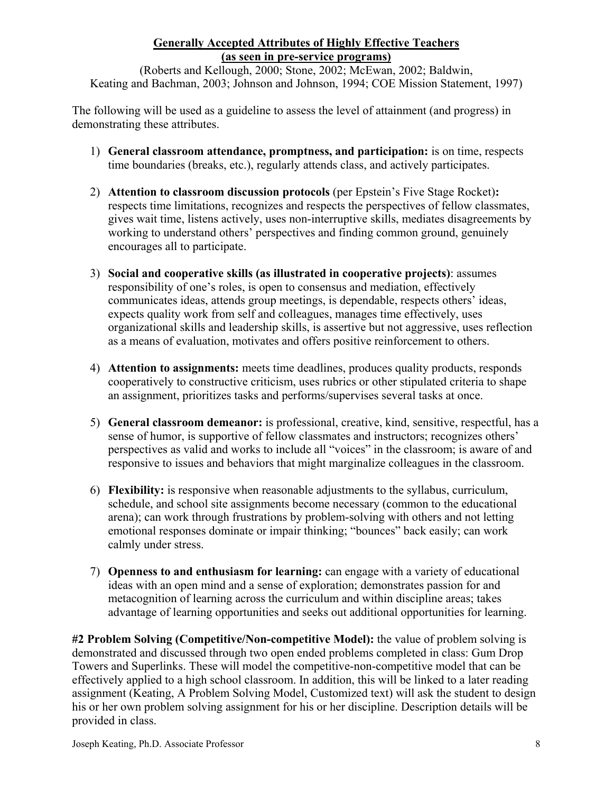## **Generally Accepted Attributes of Highly Effective Teachers (as seen in pre-service programs)**

(Roberts and Kellough, 2000; Stone, 2002; McEwan, 2002; Baldwin, Keating and Bachman, 2003; Johnson and Johnson, 1994; COE Mission Statement, 1997)

The following will be used as a guideline to assess the level of attainment (and progress) in demonstrating these attributes.

- 1) **General classroom attendance, promptness, and participation:** is on time, respects time boundaries (breaks, etc.), regularly attends class, and actively participates.
- 2) **Attention to classroom discussion protocols** (per Epstein's Five Stage Rocket)**:** respects time limitations, recognizes and respects the perspectives of fellow classmates, gives wait time, listens actively, uses non-interruptive skills, mediates disagreements by working to understand others' perspectives and finding common ground, genuinely encourages all to participate.
- 3) **Social and cooperative skills (as illustrated in cooperative projects)**: assumes responsibility of one's roles, is open to consensus and mediation, effectively communicates ideas, attends group meetings, is dependable, respects others' ideas, expects quality work from self and colleagues, manages time effectively, uses organizational skills and leadership skills, is assertive but not aggressive, uses reflection as a means of evaluation, motivates and offers positive reinforcement to others.
- 4) **Attention to assignments:** meets time deadlines, produces quality products, responds cooperatively to constructive criticism, uses rubrics or other stipulated criteria to shape an assignment, prioritizes tasks and performs/supervises several tasks at once.
- 5) **General classroom demeanor:** is professional, creative, kind, sensitive, respectful, has a sense of humor, is supportive of fellow classmates and instructors; recognizes others' perspectives as valid and works to include all "voices" in the classroom; is aware of and responsive to issues and behaviors that might marginalize colleagues in the classroom.
- 6) **Flexibility:** is responsive when reasonable adjustments to the syllabus, curriculum, schedule, and school site assignments become necessary (common to the educational arena); can work through frustrations by problem-solving with others and not letting emotional responses dominate or impair thinking; "bounces" back easily; can work calmly under stress.
- 7) **Openness to and enthusiasm for learning:** can engage with a variety of educational ideas with an open mind and a sense of exploration; demonstrates passion for and metacognition of learning across the curriculum and within discipline areas; takes advantage of learning opportunities and seeks out additional opportunities for learning.

**#2 Problem Solving (Competitive/Non-competitive Model):** the value of problem solving is demonstrated and discussed through two open ended problems completed in class: Gum Drop Towers and Superlinks. These will model the competitive-non-competitive model that can be effectively applied to a high school classroom. In addition, this will be linked to a later reading assignment (Keating, A Problem Solving Model, Customized text) will ask the student to design his or her own problem solving assignment for his or her discipline. Description details will be provided in class.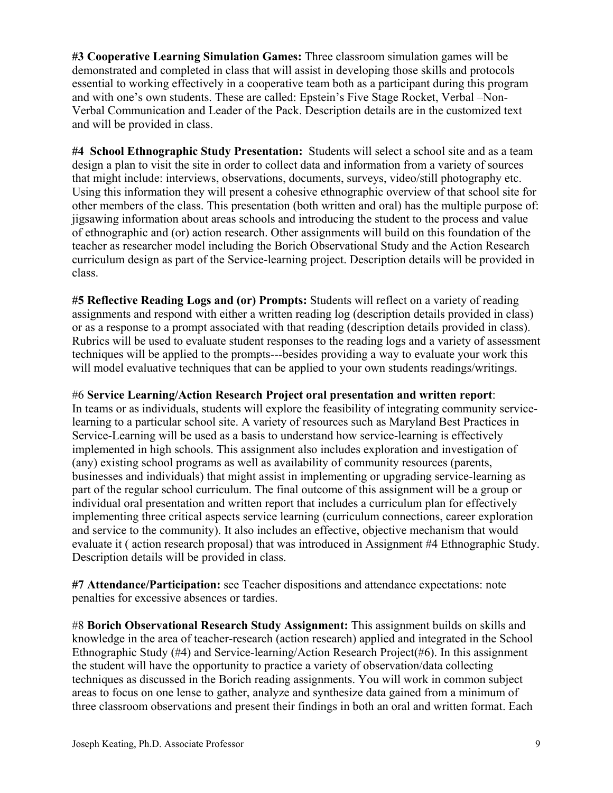**#3 Cooperative Learning Simulation Games:** Three classroom simulation games will be demonstrated and completed in class that will assist in developing those skills and protocols essential to working effectively in a cooperative team both as a participant during this program and with one's own students. These are called: Epstein's Five Stage Rocket, Verbal –Non-Verbal Communication and Leader of the Pack. Description details are in the customized text and will be provided in class.

**#4 School Ethnographic Study Presentation:** Students will select a school site and as a team design a plan to visit the site in order to collect data and information from a variety of sources that might include: interviews, observations, documents, surveys, video/still photography etc. Using this information they will present a cohesive ethnographic overview of that school site for other members of the class. This presentation (both written and oral) has the multiple purpose of: jigsawing information about areas schools and introducing the student to the process and value of ethnographic and (or) action research. Other assignments will build on this foundation of the teacher as researcher model including the Borich Observational Study and the Action Research curriculum design as part of the Service-learning project. Description details will be provided in class.

**#5 Reflective Reading Logs and (or) Prompts:** Students will reflect on a variety of reading assignments and respond with either a written reading log (description details provided in class) or as a response to a prompt associated with that reading (description details provided in class). Rubrics will be used to evaluate student responses to the reading logs and a variety of assessment techniques will be applied to the prompts---besides providing a way to evaluate your work this will model evaluative techniques that can be applied to your own students readings/writings.

#### #6 **Service Learning/Action Research Project oral presentation and written report**:

In teams or as individuals, students will explore the feasibility of integrating community servicelearning to a particular school site. A variety of resources such as Maryland Best Practices in Service-Learning will be used as a basis to understand how service-learning is effectively implemented in high schools. This assignment also includes exploration and investigation of (any) existing school programs as well as availability of community resources (parents, businesses and individuals) that might assist in implementing or upgrading service-learning as part of the regular school curriculum. The final outcome of this assignment will be a group or individual oral presentation and written report that includes a curriculum plan for effectively implementing three critical aspects service learning (curriculum connections, career exploration and service to the community). It also includes an effective, objective mechanism that would evaluate it ( action research proposal) that was introduced in Assignment #4 Ethnographic Study. Description details will be provided in class.

**#7 Attendance/Participation:** see Teacher dispositions and attendance expectations: note penalties for excessive absences or tardies.

#8 **Borich Observational Research Study Assignment:** This assignment builds on skills and knowledge in the area of teacher-research (action research) applied and integrated in the School Ethnographic Study (#4) and Service-learning/Action Research Project(#6). In this assignment the student will have the opportunity to practice a variety of observation/data collecting techniques as discussed in the Borich reading assignments. You will work in common subject areas to focus on one lense to gather, analyze and synthesize data gained from a minimum of three classroom observations and present their findings in both an oral and written format. Each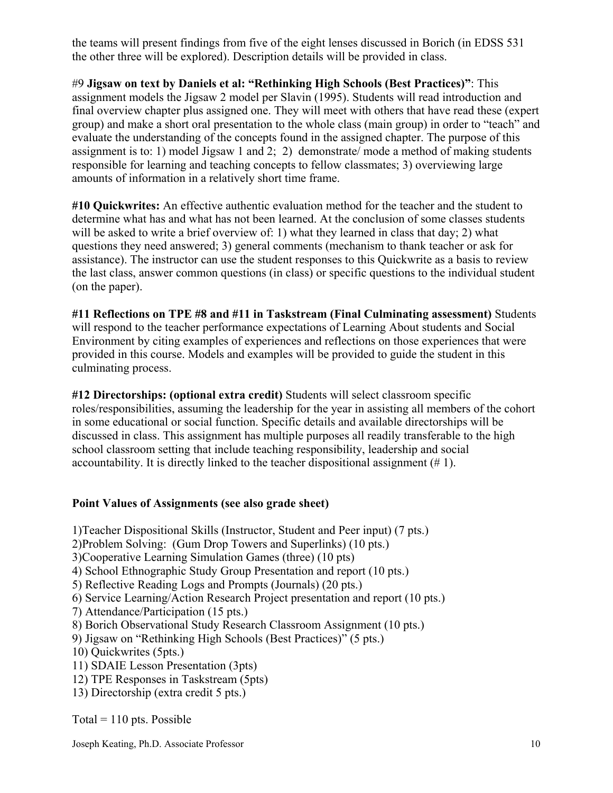the teams will present findings from five of the eight lenses discussed in Borich (in EDSS 531 the other three will be explored). Description details will be provided in class.

#9 **Jigsaw on text by Daniels et al: "Rethinking High Schools (Best Practices)"**: This assignment models the Jigsaw 2 model per Slavin (1995). Students will read introduction and final overview chapter plus assigned one. They will meet with others that have read these (expert group) and make a short oral presentation to the whole class (main group) in order to "teach" and evaluate the understanding of the concepts found in the assigned chapter. The purpose of this assignment is to: 1) model Jigsaw 1 and 2; 2) demonstrate/ mode a method of making students responsible for learning and teaching concepts to fellow classmates; 3) overviewing large amounts of information in a relatively short time frame.

**#10 Quickwrites:** An effective authentic evaluation method for the teacher and the student to determine what has and what has not been learned. At the conclusion of some classes students will be asked to write a brief overview of: 1) what they learned in class that day; 2) what questions they need answered; 3) general comments (mechanism to thank teacher or ask for assistance). The instructor can use the student responses to this Quickwrite as a basis to review the last class, answer common questions (in class) or specific questions to the individual student (on the paper).

**#11 Reflections on TPE #8 and #11 in Taskstream (Final Culminating assessment)** Students will respond to the teacher performance expectations of Learning About students and Social Environment by citing examples of experiences and reflections on those experiences that were provided in this course. Models and examples will be provided to guide the student in this culminating process.

**#12 Directorships: (optional extra credit)** Students will select classroom specific roles/responsibilities, assuming the leadership for the year in assisting all members of the cohort in some educational or social function. Specific details and available directorships will be discussed in class. This assignment has multiple purposes all readily transferable to the high school classroom setting that include teaching responsibility, leadership and social accountability. It is directly linked to the teacher dispositional assignment (# 1).

## **Point Values of Assignments (see also grade sheet)**

1)Teacher Dispositional Skills (Instructor, Student and Peer input) (7 pts.)

2)Problem Solving: (Gum Drop Towers and Superlinks) (10 pts.)

3)Cooperative Learning Simulation Games (three) (10 pts)

4) School Ethnographic Study Group Presentation and report (10 pts.)

5) Reflective Reading Logs and Prompts (Journals) (20 pts.)

6) Service Learning/Action Research Project presentation and report (10 pts.)

7) Attendance/Participation (15 pts.)

8) Borich Observational Study Research Classroom Assignment (10 pts.)

9) Jigsaw on "Rethinking High Schools (Best Practices)" (5 pts.)

10) Quickwrites (5pts.)

11) SDAIE Lesson Presentation (3pts)

12) TPE Responses in Taskstream (5pts)

13) Directorship (extra credit 5 pts.)

Total =  $110$  pts. Possible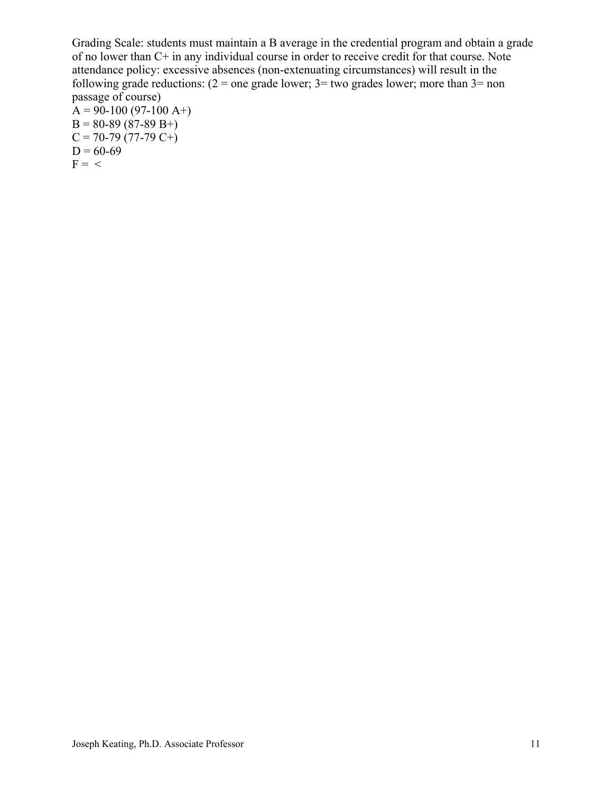Grading Scale: students must maintain a B average in the credential program and obtain a grade of no lower than C+ in any individual course in order to receive credit for that course. Note attendance policy: excessive absences (non-extenuating circumstances) will result in the following grade reductions:  $(2 =$  one grade lower;  $3 =$  two grades lower; more than  $3 =$  non passage of course)  $A = 90-100 (97-100 A+)$  $B = 80-89(87-89 B+$ 

 $C = 70-79(77-79 C<sup>2</sup>)$  $D = 60-69$  $F = \langle$